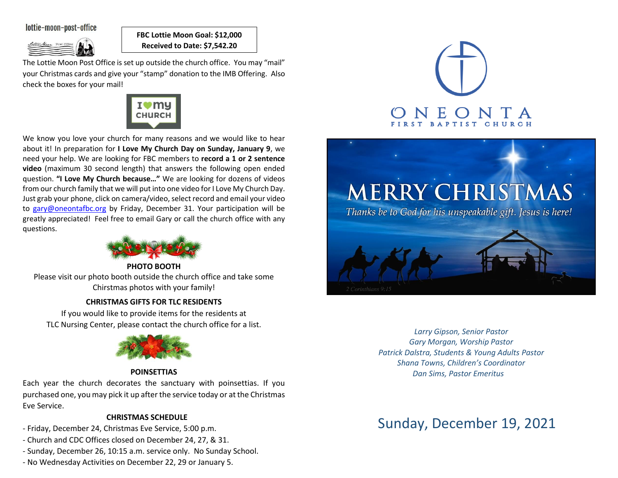# lottie-moon-post-office



**FBC Lottie Moon Goal: \$12,000 Received to Date: \$7,542.20**

The Lottie Moon Post Office is set up outside the church office. You may "mail" your Christmas cards and give your "stamp" donation to the IMB Offering. Also check the boxes for your mail!



We know you love your church for many reasons and we would like to hear about it! In preparation for **I Love My Church Day on Sunday, January 9**, we need your help. We are looking for FBC members to **record a 1 or 2 sentence video** (maximum 30 second length) that answers the following open ended question. **"I Love My Church because…"** We are looking for dozens of videos from our church family that we will put into one video for I Love My Church Day. Just grab your phone, click on camera/video, select record and email your video to [gary@oneontafbc.org](mailto:gary@oneontafbc.org) by Friday, December 31. Your participation will be greatly appreciated! Feel free to email Gary or call the church office with any questions.



**PHOTO BOOTH** Please visit our photo booth outside the church office and take some Chirstmas photos with your family!

# **CHRISTMAS GIFTS FOR TLC RESIDENTS**

If you would like to provide items for the residents at TLC Nursing Center, please contact the church office for a list.



# **POINSETTIAS**

Each year the church decorates the sanctuary with poinsettias. If you purchased one, you may pick it up after the service today or at the Christmas Eve Service.

# **CHRISTMAS SCHEDULE**

- Friday, December 24, Christmas Eve Service, 5:00 p.m.
- Church and CDC Offices closed on December 24, 27, & 31.
- Sunday, December 26, 10:15 a.m. service only. No Sunday School.
- No Wednesday Activities on December 22, 29 or January 5.





*Larry Gipson, Senior Pastor Gary Morgan, Worship Pastor Patrick Dalstra, Students & Young Adults Pastor Shana Towns, Children's Coordinator Dan Sims, Pastor Emeritus*

# Sunday, December 19, 2021